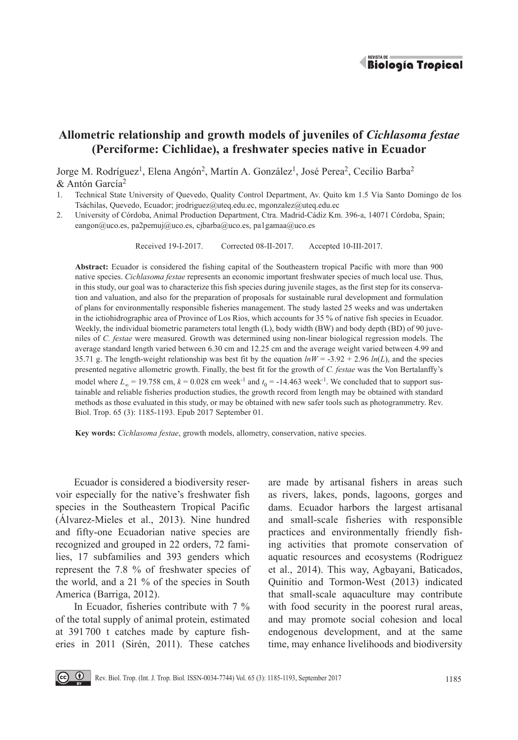

# **Allometric relationship and growth models of juveniles of** *Cichlasoma festae* **(Perciforme: Cichlidae), a freshwater species native in Ecuador**

Jorge M. Rodríguez<sup>1</sup>, Elena Angón<sup>2</sup>, Martín A. González<sup>1</sup>, José Perea<sup>2</sup>, Cecilio Barba<sup>2</sup> & Antón García2

- 1. Technical State University of Quevedo, Quality Control Department, Av. Quito km 1.5 Vía Santo Domingo de los Tsáchilas, Quevedo, Ecuador; jrodriguez@uteq.edu.ec, mgonzalez@uteq.edu.ec
- 2. University of Córdoba, Animal Production Department, Ctra. Madrid-Cádiz Km. 396-a, 14071 Córdoba, Spain; eangon@uco.es, pa2pemuj@uco.es, cjbarba@uco.es, pa1gamaa@uco.es

Received 19-I-2017. Corrected 08-II-2017. Accepted 10-III-2017.

**Abstract:** Ecuador is considered the fishing capital of the Southeastern tropical Pacific with more than 900 native species. *Cichlasoma festae* represents an economic important freshwater species of much local use. Thus, in this study, our goal was to characterize this fish species during juvenile stages, as the first step for its conservation and valuation, and also for the preparation of proposals for sustainable rural development and formulation of plans for environmentally responsible fisheries management. The study lasted 25 weeks and was undertaken in the ictiohidrographic area of Province of Los Rios, which accounts for 35 % of native fish species in Ecuador. Weekly, the individual biometric parameters total length (L), body width (BW) and body depth (BD) of 90 juveniles of *C. festae* were measured. Growth was determined using non-linear biological regression models. The average standard length varied between 6.30 cm and 12.25 cm and the average weight varied between 4.99 and 35.71 g. The length-weight relationship was best fit by the equation  $lnW = -3.92 + 2.96$   $ln(L)$ , and the species presented negative allometric growth. Finally, the best fit for the growth of *C. festae* was the Von Bertalanffy's model where  $L_{\infty}$  = 19.758 cm,  $k$  = 0.028 cm week<sup>-1</sup> and  $t_0$  = -14.463 week<sup>-1</sup>. We concluded that to support sustainable and reliable fisheries production studies, the growth record from length may be obtained with standard methods as those evaluated in this study, or may be obtained with new safer tools such as photogrammetry. Rev. Biol. Trop. 65 (3): 1185-1193. Epub 2017 September 01.

**Key words:** *Cichlasoma festae*, growth models, allometry, conservation, native species.

Ecuador is considered a biodiversity reservoir especially for the native's freshwater fish species in the Southeastern Tropical Pacific (Álvarez-Mieles et al., 2013). Nine hundred and fifty-one Ecuadorian native species are recognized and grouped in 22 orders, 72 families, 17 subfamilies and 393 genders which represent the 7.8 % of freshwater species of the world, and a 21 % of the species in South America (Barriga, 2012).

In Ecuador, fisheries contribute with 7 % of the total supply of animal protein, estimated at 391 700 t catches made by capture fisheries in 2011 (Sirén, 2011). These catches

are made by artisanal fishers in areas such as rivers, lakes, ponds, lagoons, gorges and dams. Ecuador harbors the largest artisanal and small-scale fisheries with responsible practices and environmentally friendly fishing activities that promote conservation of aquatic resources and ecosystems (Rodriguez et al., 2014). This way, Agbayani, Baticados, Quinitio and Tormon-West (2013) indicated that small-scale aquaculture may contribute with food security in the poorest rural areas, and may promote social cohesion and local endogenous development, and at the same time, may enhance livelihoods and biodiversity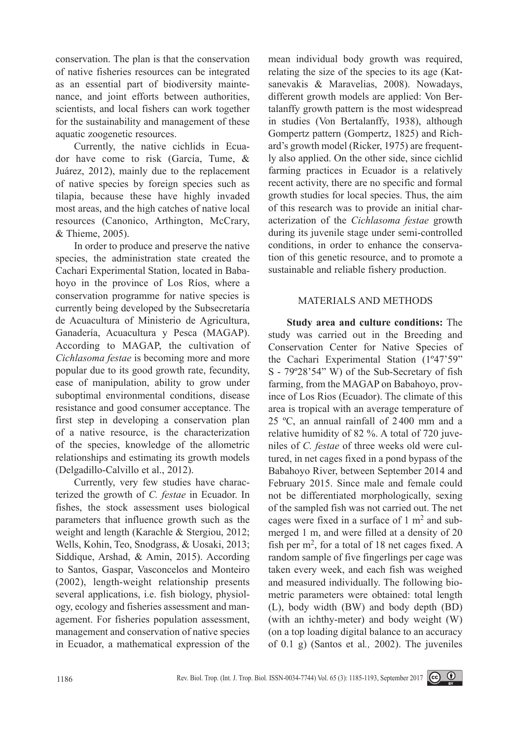conservation. The plan is that the conservation of native fisheries resources can be integrated as an essential part of biodiversity maintenance, and joint efforts between authorities, scientists, and local fishers can work together for the sustainability and management of these aquatic zoogenetic resources.

Currently, the native cichlids in Ecuador have come to risk (García, Tume, & Juárez, 2012), mainly due to the replacement of native species by foreign species such as tilapia, because these have highly invaded most areas, and the high catches of native local resources (Canonico, Arthington, McCrary, & Thieme, 2005).

In order to produce and preserve the native species, the administration state created the Cachari Experimental Station, located in Babahoyo in the province of Los Ríos, where a conservation programme for native species is currently being developed by the Subsecretaría de Acuacultura of Ministerio de Agricultura, Ganadería, Acuacultura y Pesca (MAGAP). According to MAGAP, the cultivation of *Cichlasoma festae* is becoming more and more popular due to its good growth rate, fecundity, ease of manipulation, ability to grow under suboptimal environmental conditions, disease resistance and good consumer acceptance. The first step in developing a conservation plan of a native resource, is the characterization of the species, knowledge of the allometric relationships and estimating its growth models (Delgadillo-Calvillo et al., 2012).

Currently, very few studies have characterized the growth of *C. festae* in Ecuador. In fishes, the stock assessment uses biological parameters that influence growth such as the weight and length (Karachle & Stergiou, 2012; Wells, Kohin, Teo, Snodgrass, & Uosaki, 2013; Siddique, Arshad, & Amin, 2015). According to Santos, Gaspar, Vasconcelos and Monteiro (2002), length-weight relationship presents several applications, i.e. fish biology, physiology, ecology and fisheries assessment and management. For fisheries population assessment, management and conservation of native species in Ecuador, a mathematical expression of the

mean individual body growth was required, relating the size of the species to its age (Katsanevakis & Maravelias, 2008). Nowadays, different growth models are applied: Von Bertalanffy growth pattern is the most widespread in studies (Von Bertalanffy, 1938), although Gompertz pattern (Gompertz, 1825) and Richard's growth model (Ricker, 1975) are frequently also applied. On the other side, since cichlid farming practices in Ecuador is a relatively recent activity, there are no specific and formal growth studies for local species. Thus, the aim of this research was to provide an initial characterization of the *Cichlasoma festae* growth during its juvenile stage under semi-controlled conditions, in order to enhance the conservation of this genetic resource, and to promote a sustainable and reliable fishery production.

## MATERIALS AND METHODS

**Study area and culture conditions:** The study was carried out in the Breeding and Conservation Center for Native Species of the Cachari Experimental Station (1º47'59" S - 79º28'54" W) of the Sub-Secretary of fish farming, from the MAGAP on Babahoyo, province of Los Rios (Ecuador). The climate of this area is tropical with an average temperature of 25 ºC, an annual rainfall of 2 400 mm and a relative humidity of 82 %. A total of 720 juveniles of *C. festae* of three weeks old were cultured, in net cages fixed in a pond bypass of the Babahoyo River, between September 2014 and February 2015. Since male and female could not be differentiated morphologically, sexing of the sampled fish was not carried out. The net cages were fixed in a surface of  $1 \text{ m}^2$  and submerged 1 m, and were filled at a density of 20 fish per  $m<sup>2</sup>$ , for a total of 18 net cages fixed. A random sample of five fingerlings per cage was taken every week, and each fish was weighed and measured individually. The following biometric parameters were obtained: total length (L), body width (BW) and body depth (BD) (with an ichthy-meter) and body weight (W) (on a top loading digital balance to an accuracy of 0.1 g) (Santos et al*.,* 2002). The juveniles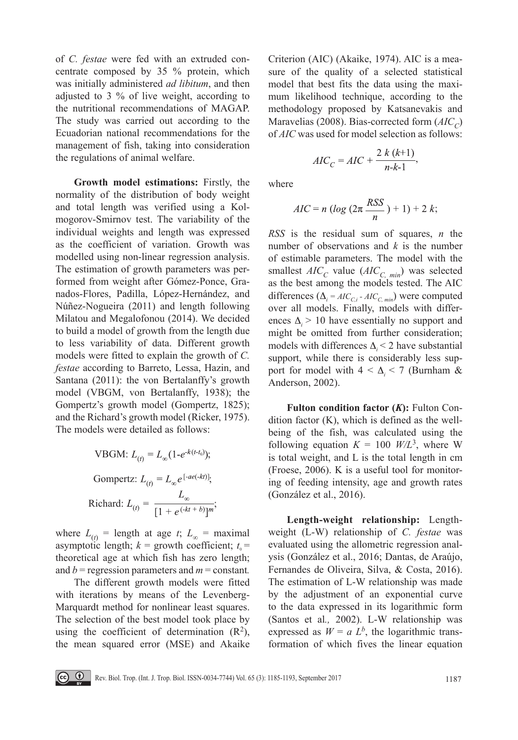of *C. festae* were fed with an extruded concentrate composed by 35 % protein, which was initially administered *ad libitum*, and then adjusted to 3 % of live weight, according to the nutritional recommendations of MAGAP. The study was carried out according to the Ecuadorian national recommendations for the management of fish, taking into consideration the regulations of animal welfare.

**Growth model estimations:** Firstly, the normality of the distribution of body weight and total length was verified using a Kolmogorov-Smirnov test. The variability of the individual weights and length was expressed as the coefficient of variation. Growth was modelled using non-linear regression analysis. The estimation of growth parameters was performed from weight after Gómez-Ponce, Granados-Flores, Padilla, López-Hernández, and Núñez-Nogueira (2011) and length following Milatou and Megalofonou (2014). We decided to build a model of growth from the length due to less variability of data. Different growth models were fitted to explain the growth of *C. festae* according to Barreto, Lessa, Hazin, and Santana (2011): the von Bertalanffy's growth model (VBGM, von Bertalanffy, 1938); the Gompertz's growth model (Gompertz, 1825); and the Richard's growth model (Ricker, 1975). The models were detailed as follows:

VBGM: 
$$
L_{(t)} = L_{\infty} (1 - e^{-k(t - t_0)})
$$
;  
Gompertz:  $L_{(t)} = L_{\infty} e^{[-ae(-kt)]}$ ;  
Richard:  $L_{(t)} = \frac{L_{\infty}}{[1 + e^{(-kt + b)}]^m}$ ;

where  $L_{(t)}$  = length at age *t*;  $L_{\infty}$  = maximal asymptotic length;  $k =$  growth coefficient;  $t_0 =$ theoretical age at which fish has zero length; and *b* = regression parameters and *m* = constant*.*

The different growth models were fitted with iterations by means of the Levenberg-Marquardt method for nonlinear least squares. The selection of the best model took place by using the coefficient of determination  $(R^2)$ , the mean squared error (MSE) and Akaike Criterion (AIC) (Akaike, 1974). AIC is a measure of the quality of a selected statistical model that best fits the data using the maximum likelihood technique, according to the methodology proposed by Katsanevakis and Maravelias (2008). Bias-corrected form (*AIC<sub>C</sub>*) of *AIC* was used for model selection as follows:

$$
AIC_C = AIC + \frac{2 k (k+1)}{n-k-1},
$$

where

$$
AIC = n \left( \log \left( 2\pi \frac{RSS}{n} \right) + 1 \right) + 2 k;
$$

*RSS* is the residual sum of squares, *n* the number of observations and *k* is the number of estimable parameters. The model with the smallest  $AIC_C$  value  $(AIC_{C, min})$  was selected as the best among the models tested. The AIC differences  $(\Delta_i = AIC_{C,i} - AIC_{C,min})$  were computed over all models. Finally, models with differences  $\Delta_i$  > 10 have essentially no support and might be omitted from further consideration; models with differences  $\Delta_i$  < 2 have substantial support, while there is considerably less support for model with  $4 < \Delta_i < 7$  (Burnham & Anderson, 2002).

**Fulton condition factor (***K***):** Fulton Condition factor (K), which is defined as the wellbeing of the fish, was calculated using the following equation  $K = 100$  *W/L*<sup>3</sup>, where W is total weight, and L is the total length in cm (Froese, 2006). K is a useful tool for monitoring of feeding intensity, age and growth rates (González et al., 2016).

**Length-weight relationship:** Lengthweight (L-W) relationship of *C. festae* was evaluated using the allometric regression analysis (González et al., 2016; Dantas, de Araújo, Fernandes de Oliveira, Silva, & Costa, 2016). The estimation of L-W relationship was made by the adjustment of an exponential curve to the data expressed in its logarithmic form (Santos et al*.,* 2002). L-W relationship was expressed as  $W = a L^b$ , the logarithmic transformation of which fives the linear equation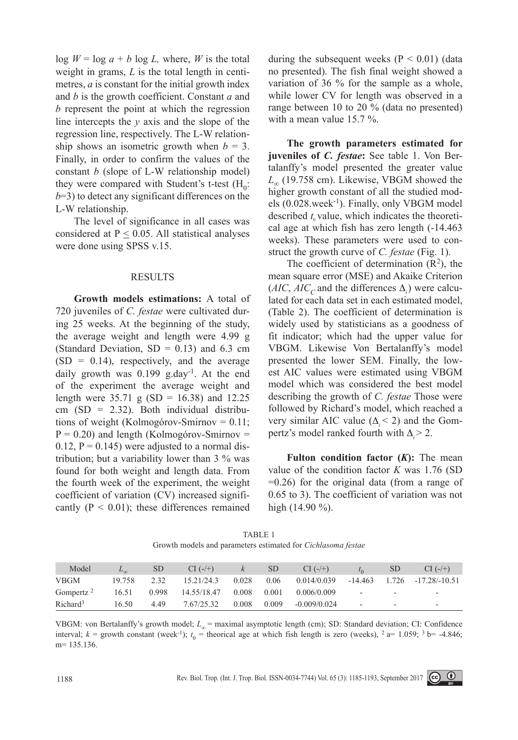$\log W = \log a + b \log L$ , where, *W* is the total weight in grams, *L* is the total length in centimetres, *a* is constant for the initial growth index and *b* is the growth coefficient. Constant *a* and *b* represent the point at which the regression line intercepts the *y* axis and the slope of the regression line, respectively. The L-W relationship shows an isometric growth when  $b = 3$ . Finally, in order to confirm the values of the constant *b* (slope of L-W relationship model) they were compared with Student's t-test  $(H_0)$ :  $b=3$ ) to detect any significant differences on the L-W relationship.

The level of significance in all cases was considered at  $P \leq 0.05$ . All statistical analyses were done using SPSS v.15.

#### RESULTS

**Growth models estimations:** A total of 720 juveniles of *C. festae* were cultivated during 25 weeks. At the beginning of the study, the average weight and length were 4.99 g (Standard Deviation,  $SD = 0.13$ ) and 6.3 cm  $(SD = 0.14)$ , respectively, and the average daily growth was  $0.199$  g.day<sup>-1</sup>. At the end of the experiment the average weight and length were  $35.71 \text{ g}$  (SD = 16.38) and 12.25  $cm (SD = 2.32)$ . Both individual distributions of weight (Kolmogórov-Smirnov = 0.11;  $P = 0.20$ ) and length (Kolmogórov-Smirnov =  $0.12$ ,  $P = 0.145$ ) were adjusted to a normal distribution; but a variability lower than 3 % was found for both weight and length data. From the fourth week of the experiment, the weight coefficient of variation (CV) increased significantly  $(P < 0.01)$ ; these differences remained

during the subsequent weeks  $(P < 0.01)$  (data no presented). The fish final weight showed a variation of 36 % for the sample as a whole, while lower CV for length was observed in a range between 10 to 20 % (data no presented) with a mean value 15.7 %.

**The growth parameters estimated for juveniles of** *C. festae***:** See table 1. Von Bertalanffy's model presented the greater value *L*∞ (19.758 cm). Likewise, VBGM showed the higher growth constant of all the studied models (0.028.week-1). Finally, only VBGM model described  $t<sub>0</sub>$  value, which indicates the theoretical age at which fish has zero length (-14.463 weeks). These parameters were used to construct the growth curve of *C. festae* (Fig. 1).

The coefficient of determination  $(R<sup>2</sup>)$ , the mean square error (MSE) and Akaike Criterion  $(AIC, AIC_C)$  and the differences  $\Delta_i$ ) were calculated for each data set in each estimated model, (Table 2). The coefficient of determination is widely used by statisticians as a goodness of fit indicator; which had the upper value for VBGM. Likewise Von Bertalanffy's model presented the lower SEM. Finally, the lowest AIC values were estimated using VBGM model which was considered the best model describing the growth of *C. festae* Those were followed by Richard's model, which reached a very similar AIC value  $(\Delta < 2)$  and the Gompertz's model ranked fourth with  $\Delta \geq 2$ .

**Fulton condition factor (***K***):** The mean value of the condition factor *K* was 1.76 (SD =0.26) for the original data (from a range of 0.65 to 3). The coefficient of variation was not high (14.90 %).

| Model                | $L_{\infty}$ | SD    | $CI$ (-/+)  | K     | <sub>SD</sub> | $CI$ (-/+)           |                          | SD. | $CI$ (-/+)                        |
|----------------------|--------------|-------|-------------|-------|---------------|----------------------|--------------------------|-----|-----------------------------------|
| <b>VBGM</b>          | 19.758       | 232   | 15.21/24.3  | 0.028 |               | $0.06$ $0.014/0.039$ |                          |     | $-14.463$ $1.726$ $-17.28/-10.51$ |
| Gompertz $2$         | 16.51        | 0.998 | 14.55/18.47 | 0.008 | 0.001         | 0.006/0.009          | $\overline{\phantom{a}}$ | ۰.  | $\overline{\phantom{a}}$          |
| Richard <sup>3</sup> | 16.50        | 449   | 7.67/25.32  | 0.008 | 0.009         | $-0.009/0.024$       | -                        |     | $\overline{\phantom{a}}$          |

TABLE 1 Growth models and parameters estimated for *Cichlasoma festae*

VBGM: von Bertalanffy's growth model; *L∞* = maximal asymptotic length (cm); SD: Standard deviation; CI: Confidence interval;  $k =$  growth constant (week<sup>-1</sup>);  $t_0$  = theorical age at which fish length is zero (weeks),  $^2$  a= 1.059;  $^3$  b= -4.846; m= 135.136.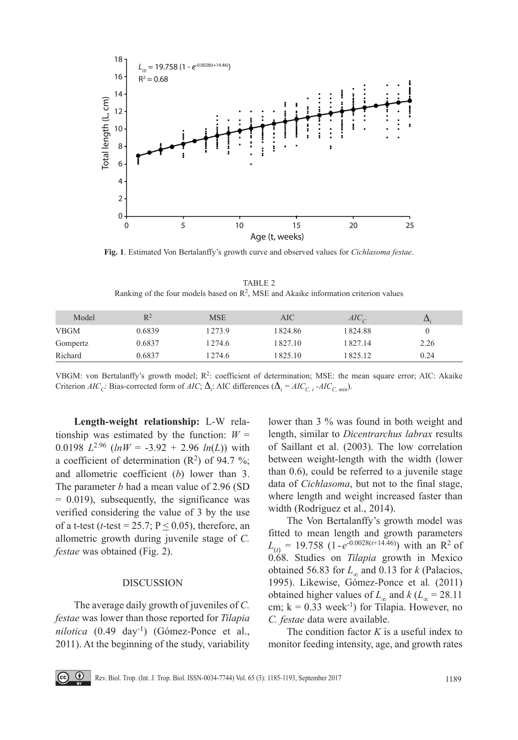

**Fig. 1**. Estimated Von Bertalanffy's growth curve and observed values for *Cichlasoma festae*.

TABLE 2 Ranking of the four models based on  $\mathbb{R}^2$ , MSE and Akaike information criterion values

| Model       | $R^2$  | <b>MSE</b> | AIC     | $AIC_C$ | Δ    |
|-------------|--------|------------|---------|---------|------|
| <b>VBGM</b> | 0.6839 | 1273.9     | 1824.86 | 1824.88 |      |
| Gompertz    | 0.6837 | 1274.6     | 1827.10 | 1827.14 | 2.26 |
| Richard     | 0.6837 | 1274.6     | 825.10  | 825.12  | 0.24 |

VBGM: von Bertalanffy's growth model; R2: coefficient of determination; MSE: the mean square error; AIC: Akaike Criterion *AIC<sub>C</sub>*: Bias-corrected form of *AIC*;  $\Delta_i$ : AIC differences  $(\Delta_i = AIC_{C,i} - AIC_{C, min})$ .

**Length-weight relationship:** L-W relationship was estimated by the function:  $W =$ 0.0198  $L^{2.96}$  ( $ln W = -3.92 + 2.96 ln(L)$ ) with a coefficient of determination  $(R^2)$  of 94.7 %; and allometric coefficient (*b*) lower than 3. The parameter *b* had a mean value of 2.96 (SD  $= 0.019$ , subsequently, the significance was verified considering the value of 3 by the use of a t-test ( $t$ -test = 25.7; P  $\leq$  0.05), therefore, an allometric growth during juvenile stage of *C. festae* was obtained (Fig. 2).

#### DISCUSSION

The average daily growth of juveniles of *C. festae* was lower than those reported for *Tilapia nilotica* (0.49 day-1) (Gómez-Ponce et al., 2011). At the beginning of the study, variability

lower than 3 % was found in both weight and length, similar to *Dicentrarchus labrax* results of Saillant et al. (2003). The low correlation between weight-length with the width (lower than 0.6), could be referred to a juvenile stage data of *Cichlasoma*, but not to the final stage, where length and weight increased faster than width (Rodríguez et al., 2014).

The Von Bertalanffy's growth model was fitted to mean length and growth parameters  $L_{(t)} = 19.758$  (1- $e^{-0.0028(t+14.46)}$ ) with an R<sup>2</sup> of 0.68. Studies on *Tilapia* growth in Mexico obtained 56.83 for *L∞* and 0.13 for *k* (Palacios, 1995). Likewise, Gómez-Ponce et al*.* (2011) obtained higher values of  $L_\infty$  and  $k$  ( $L_\infty$  = 28.11 cm;  $k = 0.33$  week<sup>-1</sup>) for Tilapia. However, no *C. festae* data were available.

The condition factor *K* is a useful index to monitor feeding intensity, age, and growth rates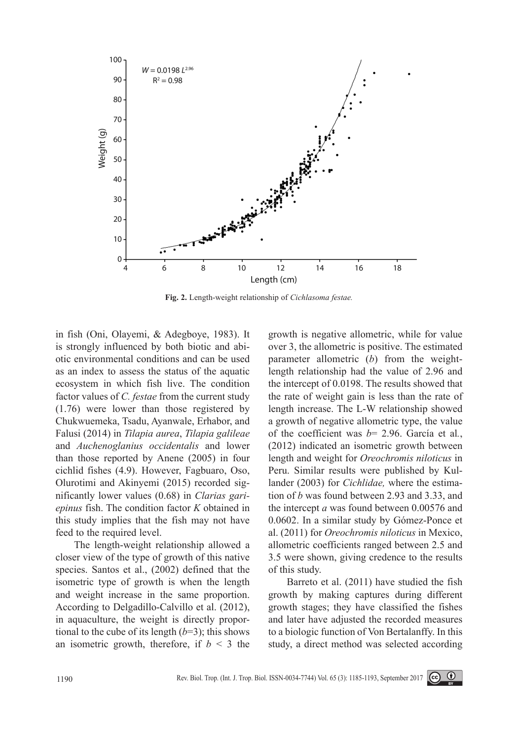

**Fig. 2.** Length-weight relationship of *Cichlasoma festae.*

in fish (Oni, Olayemi, & Adegboye, 1983). It is strongly influenced by both biotic and abiotic environmental conditions and can be used as an index to assess the status of the aquatic ecosystem in which fish live. The condition factor values of *C. festae* from the current study (1.76) were lower than those registered by Chukwuemeka, Tsadu, Ayanwale, Erhabor, and Falusi (2014) in *Tilapia aurea*, *Tilapia galileae* and *Auchenoglanius occidentalis* and lower than those reported by Anene (2005) in four cichlid fishes (4.9). However, Fagbuaro, Oso, Olurotimi and Akinyemi (2015) recorded significantly lower values (0.68) in *Clarias gariepinus* fish. The condition factor *K* obtained in this study implies that the fish may not have feed to the required level.

The length-weight relationship allowed a closer view of the type of growth of this native species. Santos et al., (2002) defined that the isometric type of growth is when the length and weight increase in the same proportion. According to Delgadillo-Calvillo et al. (2012), in aquaculture, the weight is directly proportional to the cube of its length  $(b=3)$ ; this shows an isometric growth, therefore, if  $b < 3$  the

growth is negative allometric, while for value over 3, the allometric is positive. The estimated parameter allometric (*b*) from the weightlength relationship had the value of 2.96 and the intercept of 0.0198. The results showed that the rate of weight gain is less than the rate of length increase. The L-W relationship showed a growth of negative allometric type, the value of the coefficient was *b*= 2.96. García et al*.*, (2012) indicated an isometric growth between length and weight for *Oreochromis niloticus* in Peru. Similar results were published by Kullander (2003) for *Cichlidae,* where the estimation of *b* was found between 2.93 and 3.33, and the intercept *a* was found between 0.00576 and 0.0602. In a similar study by Gómez-Ponce et al. (2011) for *Oreochromis niloticus* in Mexico, allometric coefficients ranged between 2.5 and 3.5 were shown, giving credence to the results of this study.

Barreto et al. (2011) have studied the fish growth by making captures during different growth stages; they have classified the fishes and later have adjusted the recorded measures to a biologic function of Von Bertalanffy. In this study, a direct method was selected according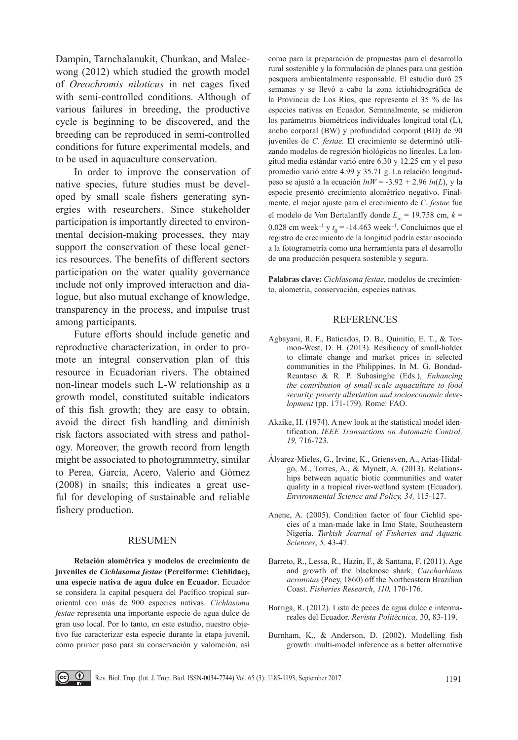Dampin, Tarnchalanukit, Chunkao, and Maleewong (2012) which studied the growth model of *Oreochromis niloticus* in net cages fixed with semi-controlled conditions. Although of various failures in breeding, the productive cycle is beginning to be discovered, and the breeding can be reproduced in semi-controlled conditions for future experimental models, and to be used in aquaculture conservation.

In order to improve the conservation of native species, future studies must be developed by small scale fishers generating synergies with researchers. Since stakeholder participation is importantly directed to environmental decision-making processes, they may support the conservation of these local genetics resources. The benefits of different sectors participation on the water quality governance include not only improved interaction and dialogue, but also mutual exchange of knowledge, transparency in the process, and impulse trust among participants.

Future efforts should include genetic and reproductive characterization, in order to promote an integral conservation plan of this resource in Ecuadorian rivers. The obtained non-linear models such L-W relationship as a growth model, constituted suitable indicators of this fish growth; they are easy to obtain, avoid the direct fish handling and diminish risk factors associated with stress and pathology. Moreover, the growth record from length might be associated to photogrammetry, similar to Perea, García, Acero, Valerio and Gómez (2008) in snails; this indicates a great useful for developing of sustainable and reliable fishery production.

### **RESUMEN**

**Relación alométrica y modelos de crecimiento de juveniles de** *Cichlasoma festae* **(Perciforme: Cichlidae), una especie nativa de agua dulce en Ecuador**. Ecuador se considera la capital pesquera del Pacífico tropical suroriental con más de 900 especies nativas. *Cichlasoma festae* representa una importante especie de agua dulce de gran uso local. Por lo tanto, en este estudio, nuestro objetivo fue caracterizar esta especie durante la etapa juvenil, como primer paso para su conservación y valoración, así como para la preparación de propuestas para el desarrollo rural sostenible y la formulación de planes para una gestión pesquera ambientalmente responsable. El estudio duró 25 semanas y se llevó a cabo la zona ictiohidrográfica de la Provincia de Los Ríos, que representa el 35 % de las especies nativas en Ecuador. Semanalmente, se midieron los parámetros biométricos individuales longitud total (L), ancho corporal (BW) y profundidad corporal (BD) de 90 juveniles de *C. festae.* El crecimiento se determinó utilizando modelos de regresión biológicos no lineales. La longitud media estándar varió entre 6.30 y 12.25 cm y el peso promedio varió entre 4.99 y 35.71 g. La relación longitudpeso se ajustó a la ecuación *lnW* = -3.92 + 2.96 *ln*(*L*), y la especie presentó crecimiento alométrico negativo. Finalmente, el mejor ajuste para el crecimiento de *C. festae* fue el modelo de Von Bertalanffy donde  $L_{\infty}$  = 19.758 cm,  $k$  = 0.028 cm week  $^{-1}$  y  $t_0 = -14.463$  week  $^{-1}$ . Concluimos que el registro de crecimiento de la longitud podría estar asociado a la fotogrametría como una herramienta para el desarrollo de una producción pesquera sostenible y segura.

**Palabras clave:** *Cichlasoma festae,* modelos de crecimiento, alometría, conservación, especies nativas.

## **REFERENCES**

- Agbayani, R. F., Baticados, D. B., Quinitio, E. T., & Tormon-West, D. H. (2013). Resiliency of small-holder to climate change and market prices in selected communities in the Philippines. In M. G. Bondad-Reantaso & R. P. Subasinghe (Eds.), *Enhancing the contribution of small-scale aquaculture to food security, poverty alleviation and socioeconomic development* (pp. 171-179). Rome: FAO.
- Akaike, H. (1974). A new look at the statistical model identification. *IEEE Transactions on Automatic Control, 19,* 716-723.
- Álvarez-Mieles, G., Irvine, K., Griensven, A., Arias-Hidalgo, M., Torres, A., & Mynett, A. (2013). Relationships between aquatic biotic communities and water quality in a tropical river-wetland system (Ecuador). *Environmental Science and Policy, 34,* 115-127.
- Anene, A. (2005). Condition factor of four Cichlid species of a man-made lake in Imo State, Southeastern Nigeria. *Turkish Journal of Fisheries and Aquatic Sciences*, *5,* 43-47.
- Barreto, R., Lessa, R., Hazin, F., & Santana, F. (2011). Age and growth of the blacknose shark, *Carcharhinus acronotus* (Poey, 1860) off the Northeastern Brazilian Coast. *Fisheries Research*, *110,* 170-176.
- Barriga, R. (2012). Lista de peces de agua dulce e intermareales del Ecuador. *Revista Politécnica,* 30, 83-119.
- Burnham, K., & Anderson, D. (2002). Modelling fish growth: multi-model inference as a better alternative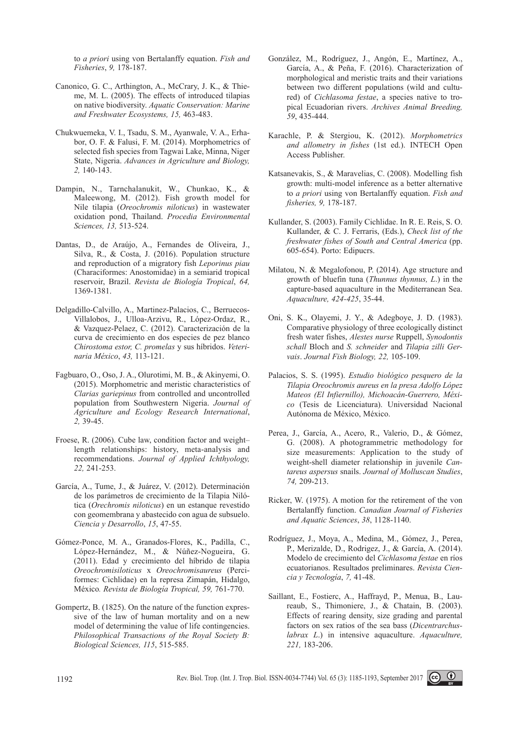to *a priori* using von Bertalanffy equation. *Fish and Fisheries*, *9,* 178-187.

- Canonico, G. C., Arthington, A., McCrary, J. K., & Thieme, M. L. (2005). The effects of introduced tilapias on native biodiversity. *Aquatic Conservation: Marine and Freshwater Ecosystems, 15,* 463-483.
- Chukwuemeka, V. I., Tsadu, S. M., Ayanwale, V. A., Erhabor, O. F. & Falusi, F. M. (2014). Morphometrics of selected fish species from Tagwai Lake, Minna, Niger State, Nigeria. *Advances in Agriculture and Biology, 2,* 140-143.
- Dampin, N., Tarnchalanukit, W., Chunkao, K., & Maleewong, M. (2012). Fish growth model for Nile tilapia (*Oreochromis niloticus*) in wastewater oxidation pond, Thailand. *Procedia Environmental Sciences, 13,* 513-524.
- Dantas, D., de Araújo, A., Fernandes de Oliveira, J., Silva, R., & Costa, J. (2016). Population structure and reproduction of a migratory fish *Leporinus piau* (Characiformes: Anostomidae) in a semiarid tropical reservoir, Brazil. *Revista de Biología Tropical*, *64,*  1369-1381.
- Delgadillo-Calvillo, A., Martinez-Palacios, C., Berruecos-Villalobos, J., Ulloa-Arzivu, R., López-Ordaz, R., & Vazquez-Pelaez, C. (2012). Caracterización de la curva de crecimiento en dos especies de pez blanco *Chirostoma estor, C. promelas* y sus híbridos. *Veterinaria México*, *43,* 113-121.
- Fagbuaro, O., Oso, J. A., Olurotimi, M. B., & Akinyemi, O. (2015). Morphometric and meristic characteristics of *Clarias gariepinus* from controlled and uncontrolled population from Southwestern Nigeria. *Journal of Agriculture and Ecology Research International*, *2,* 39-45.
- Froese, R. (2006). Cube law, condition factor and weight– length relationships: history, meta-analysis and recommendations. *Journal of Applied Ichthyology, 22,* 241-253.
- García, A., Tume, J., & Juárez, V. (2012). Determinación de los parámetros de crecimiento de la Tilapia Nilótica (*Orechromis niloticus*) en un estanque revestido con geomembrana y abastecido con agua de subsuelo. *Ciencia y Desarrollo*, *15*, 47-55.
- Gómez-Ponce, M. A., Granados-Flores, K., Padilla, C., López-Hernández, M., & Núñez-Nogueira, G. (2011). Edad y crecimiento del híbrido de tilapia *Oreochromisiloticus* x *Oreochromisaureus* (Perciformes: Cichlidae) en la represa Zimapán, Hidalgo, México*. Revista de Biología Tropical, 59,* 761-770.
- Gompertz, B. (1825). On the nature of the function expressive of the law of human mortality and on a new model of determining the value of life contingencies. *Philosophical Transactions of the Royal Society B: Biological Sciences, 115*, 515-585.
- González, M., Rodríguez, J., Angón, E., Martínez, A., García, A., & Peña, F. (2016). Characterization of morphological and meristic traits and their variations between two different populations (wild and cultured) of *Cichlasoma festae*, a species native to tropical Ecuadorian rivers. *Archives Animal Breeding, 59*, 435-444.
- Karachle, P. & Stergiou, K. (2012). *Morphometrics and allometry in fishes* (1st ed.). INTECH Open Access Publisher.
- Katsanevakis, S., & Maravelias, C. (2008). Modelling fish growth: multi-model inference as a better alternative to *a priori* using von Bertalanffy equation. *Fish and fisheries, 9,* 178-187.
- Kullander, S. (2003). Family Cichlidae. In R. E. Reis, S. O. Kullander, & C. J. Ferraris, (Eds.), *Check list of the freshwater fishes of South and Central America* (pp. 605-654). Porto: Edipucrs.
- Milatou, N. & Megalofonou, P. (2014). Age structure and growth of bluefin tuna (*Thunnus thynnus, L*.) in the capture-based aquaculture in the Mediterranean Sea. *Aquaculture, 424-425*, 35-44.
- Oni, S. K., Olayemi, J. Y., & Adegboye, J. D. (1983). Comparative physiology of three ecologically distinct fresh water fishes, *Alestes nurse* Ruppell, *Synodontis schall* Bloch and *S. schneider* and *Tilapia zilli Gervais*. *Journal Fish Biology, 22,* 105-109.
- Palacios, S. S. (1995). *Estudio biológico pesquero de la Tilapia Oreochromis aureus en la presa Adolfo López Mateos (El Infiernillo), Michoacán-Guerrero, México* (Tesis de Licenciatura). Universidad Nacional Autónoma de México, México.
- Perea, J., García, A., Acero, R., Valerio, D., & Gómez, G. (2008). A photogrammetric methodology for size measurements: Application to the study of weight-shell diameter relationship in juvenile *Cantareus aspersus* snails. *Journal of Molluscan Studies*, *74,* 209-213.
- Ricker, W. (1975). A motion for the retirement of the von Bertalanffy function. *Canadian Journal of Fisheries and Aquatic Sciences*, *38*, 1128-1140.
- Rodríguez, J., Moya, A., Medina, M., Gómez, J., Perea, P., Merizalde, D., Rodrigez, J., & García, A. (2014). Modelo de crecimiento del *Cichlasoma festae* en ríos ecuatorianos. Resultados preliminares. *Revista Ciencia y Tecnología*, *7,* 41-48.
- Saillant, E., Fostierc, A., Haffrayd, P., Menua, B., Laureaub, S., Thimoniere, J., & Chatain, B. (2003). Effects of rearing density, size grading and parental factors on sex ratios of the sea bass (*Dicentrarchuslabrax L*.) in intensive aquaculture. *Aquaculture, 221,* 183-206.